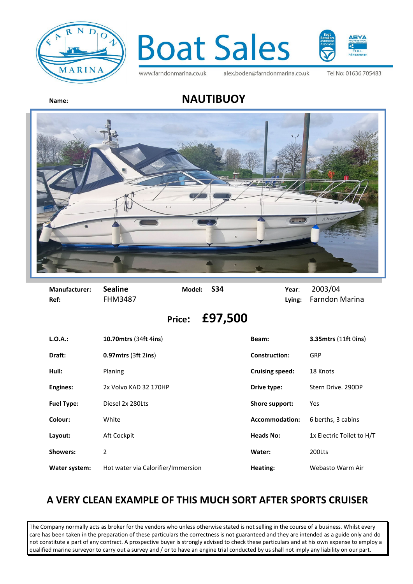



www.farndonmarina.co.uk

alex.boden@farndonmarina.co.uk

Tel No: 01636 705483

## **Name: NAUTIBUOY**



| Manufacturer:<br>Ref: | <b>Sealine</b><br><b>FHM3487</b> | Model:        | <b>S34</b> |                        | Year:<br>Lying: | 2003/04<br><b>Farndon Marina</b> |
|-----------------------|----------------------------------|---------------|------------|------------------------|-----------------|----------------------------------|
|                       |                                  | <b>Price:</b> | £97,500    |                        |                 |                                  |
| L.O.A.:               | <b>10.70 mtrs (34ft 4ins)</b>    |               |            | Beam:                  |                 | <b>3.35mtrs (11ft 0ins)</b>      |
| Draft:                | $0.97$ mtrs (3ft 2ins)           |               |            | <b>Construction:</b>   |                 | GRP                              |
| Hull:                 | Planing                          |               |            | <b>Cruising speed:</b> |                 | 18 Knots                         |
|                       |                                  |               |            |                        |                 |                                  |

**Engines:** 2x Volvo KAD 32 170HP **Drive type:** Stern Drive. 290DP **Fuel Type:** Diesel 2x 280Lts **Shore support:** Yes **Colour:** White White **Accommodation:** 6 berths, 3 cabins **Layout:** Aft Cockpit **Aft Cockpit Heads No:** 1x Electric Toilet to H/T **Showers:** 2 **Water:** 200Lts Water system: Hot water via Calorifier/Immersion **Heating:** Webasto Warm Air

## **A VERY CLEAN EXAMPLE OF THIS MUCH SORT AFTER SPORTS CRUISER**

The Company normally acts as broker for the vendors who unless otherwise stated is not selling in the course of a business. Whilst every care has been taken in the preparation of these particulars the correctness is not guaranteed and they are intended as a guide only and do not constitute a part of any contract. A prospective buyer is strongly advised to check these particulars and at his own expense to employ a qualified marine surveyor to carry out a survey and / or to have an engine trial conducted by us shall not imply any liability on our part.